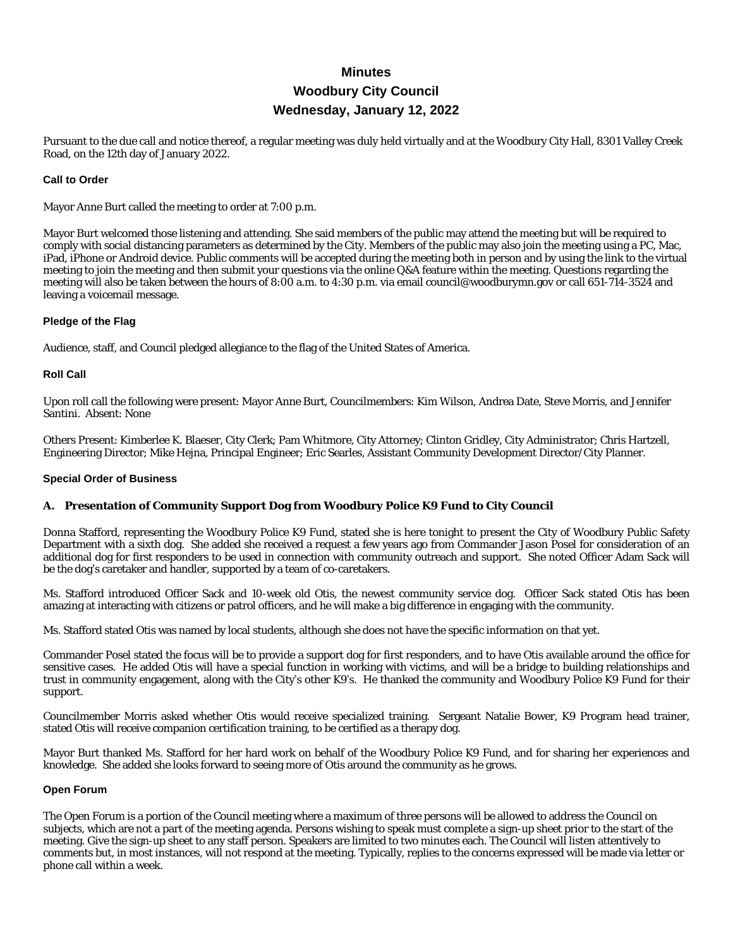# **Minutes Woodbury City Council Wednesday, January 12, 2022**

Pursuant to the due call and notice thereof, a regular meeting was duly held virtually and at the Woodbury City Hall, 8301 Valley Creek Road, on the 12th day of January 2022.

#### **Call to Order**

Mayor Anne Burt called the meeting to order at 7:00 p.m.

Mayor Burt welcomed those listening and attending. She said members of the public may attend the meeting but will be required to comply with social distancing parameters as determined by the City. Members of the public may also join the meeting using a PC, Mac, iPad, iPhone or Android device. Public comments will be accepted during the meeting both in person and by using the link to the virtual meeting to join the meeting and then submit your questions via the online Q&A feature within the meeting. Questions regarding the meeting will also be taken between the hours of 8:00 a.m. to 4:30 p.m. via email council@woodburymn.gov or call 651-714-3524 and leaving a voicemail message.

#### **Pledge of the Flag**

Audience, staff, and Council pledged allegiance to the flag of the United States of America.

#### **Roll Call**

Upon roll call the following were present: Mayor Anne Burt, Councilmembers: Kim Wilson, Andrea Date, Steve Morris, and Jennifer Santini. Absent: None

Others Present: Kimberlee K. Blaeser, City Clerk; Pam Whitmore, City Attorney; Clinton Gridley, City Administrator; Chris Hartzell, Engineering Director; Mike Hejna, Principal Engineer; Eric Searles, Assistant Community Development Director/City Planner.

#### **Special Order of Business**

#### **A. Presentation of Community Support Dog from Woodbury Police K9 Fund to City Council**

Donna Stafford, representing the Woodbury Police K9 Fund, stated she is here tonight to present the City of Woodbury Public Safety Department with a sixth dog. She added she received a request a few years ago from Commander Jason Posel for consideration of an additional dog for first responders to be used in connection with community outreach and support. She noted Officer Adam Sack will be the dog's caretaker and handler, supported by a team of co-caretakers.

Ms. Stafford introduced Officer Sack and 10-week old Otis, the newest community service dog. Officer Sack stated Otis has been amazing at interacting with citizens or patrol officers, and he will make a big difference in engaging with the community.

Ms. Stafford stated Otis was named by local students, although she does not have the specific information on that yet.

Commander Posel stated the focus will be to provide a support dog for first responders, and to have Otis available around the office for sensitive cases. He added Otis will have a special function in working with victims, and will be a bridge to building relationships and trust in community engagement, along with the City's other K9's. He thanked the community and Woodbury Police K9 Fund for their support.

Councilmember Morris asked whether Otis would receive specialized training. Sergeant Natalie Bower, K9 Program head trainer, stated Otis will receive companion certification training, to be certified as a therapy dog.

Mayor Burt thanked Ms. Stafford for her hard work on behalf of the Woodbury Police K9 Fund, and for sharing her experiences and knowledge. She added she looks forward to seeing more of Otis around the community as he grows.

#### **Open Forum**

The Open Forum is a portion of the Council meeting where a maximum of three persons will be allowed to address the Council on subjects, which are not a part of the meeting agenda. Persons wishing to speak must complete a sign-up sheet prior to the start of the meeting. Give the sign-up sheet to any staff person. Speakers are limited to two minutes each. The Council will listen attentively to comments but, in most instances, will not respond at the meeting. Typically, replies to the concerns expressed will be made via letter or phone call within a week.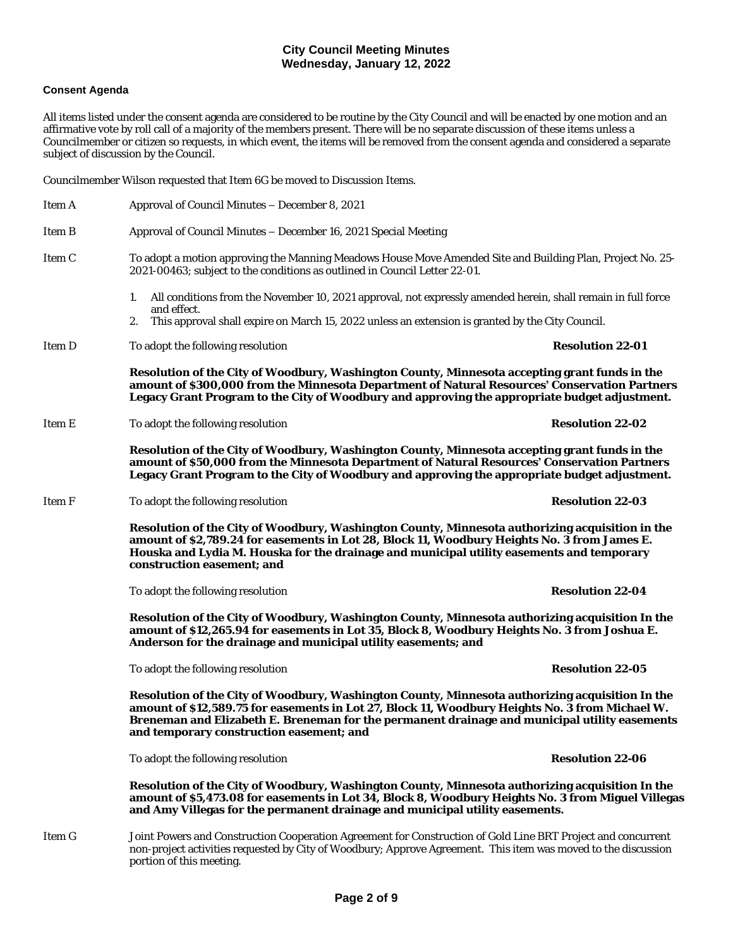#### **Consent Agenda**

All items listed under the consent agenda are considered to be routine by the City Council and will be enacted by one motion and an affirmative vote by roll call of a majority of the members present. There will be no separate discussion of these items unless a Councilmember or citizen so requests, in which event, the items will be removed from the consent agenda and considered a separate subject of discussion by the Council.

Councilmember Wilson requested that Item 6G be moved to Discussion Items.

| Item A | Approval of Council Minutes – December 8, 2021                                                                                                                                                                                                                                                                                                  |                         |  |
|--------|-------------------------------------------------------------------------------------------------------------------------------------------------------------------------------------------------------------------------------------------------------------------------------------------------------------------------------------------------|-------------------------|--|
| Item B | Approval of Council Minutes - December 16, 2021 Special Meeting                                                                                                                                                                                                                                                                                 |                         |  |
| Item C | To adopt a motion approving the Manning Meadows House Move Amended Site and Building Plan, Project No. 25-<br>2021-00463; subject to the conditions as outlined in Council Letter 22-01.                                                                                                                                                        |                         |  |
|        | All conditions from the November 10, 2021 approval, not expressly amended herein, shall remain in full force<br>1.                                                                                                                                                                                                                              |                         |  |
|        | and effect.<br>This approval shall expire on March 15, 2022 unless an extension is granted by the City Council.<br>2.                                                                                                                                                                                                                           |                         |  |
| Item D | To adopt the following resolution                                                                                                                                                                                                                                                                                                               | <b>Resolution 22-01</b> |  |
|        | Resolution of the City of Woodbury, Washington County, Minnesota accepting grant funds in the<br>amount of \$300,000 from the Minnesota Department of Natural Resources' Conservation Partners<br>Legacy Grant Program to the City of Woodbury and approving the appropriate budget adjustment.                                                 |                         |  |
| Item E | To adopt the following resolution                                                                                                                                                                                                                                                                                                               | <b>Resolution 22-02</b> |  |
|        | Resolution of the City of Woodbury, Washington County, Minnesota accepting grant funds in the<br>amount of \$50,000 from the Minnesota Department of Natural Resources' Conservation Partners<br>Legacy Grant Program to the City of Woodbury and approving the appropriate budget adjustment.                                                  |                         |  |
| Item F | To adopt the following resolution                                                                                                                                                                                                                                                                                                               | <b>Resolution 22-03</b> |  |
|        | Resolution of the City of Woodbury, Washington County, Minnesota authorizing acquisition in the<br>amount of \$2,789.24 for easements in Lot 28, Block 11, Woodbury Heights No. 3 from James E.<br>Houska and Lydia M. Houska for the drainage and municipal utility easements and temporary<br>construction easement; and                      |                         |  |
|        | To adopt the following resolution                                                                                                                                                                                                                                                                                                               | <b>Resolution 22-04</b> |  |
|        | Resolution of the City of Woodbury, Washington County, Minnesota authorizing acquisition In the<br>amount of \$12,265.94 for easements in Lot 35, Block 8, Woodbury Heights No. 3 from Joshua E.<br>Anderson for the drainage and municipal utility easements; and                                                                              |                         |  |
|        | To adopt the following resolution                                                                                                                                                                                                                                                                                                               | <b>Resolution 22-05</b> |  |
|        | Resolution of the City of Woodbury, Washington County, Minnesota authorizing acquisition In the<br>amount of \$12,589.75 for easements in Lot 27, Block 11, Woodbury Heights No. 3 from Michael W.<br>Breneman and Elizabeth E. Breneman for the permanent drainage and municipal utility easements<br>and temporary construction easement; and |                         |  |
|        | To adopt the following resolution                                                                                                                                                                                                                                                                                                               | <b>Resolution 22-06</b> |  |
|        | Resolution of the City of Woodbury, Washington County, Minnesota authorizing acquisition In the<br>amount of \$5,473.08 for easements in Lot 34, Block 8, Woodbury Heights No. 3 from Miguel Villegas<br>and Amy Villegas for the permanent drainage and municipal utility easements.                                                           |                         |  |
| Item G | Joint Powers and Construction Cooperation Agreement for Construction of Gold Line BRT Project and concurrent<br>non-project activities requested by City of Woodbury; Approve Agreement. This item was moved to the discussion<br>portion of this meeting.                                                                                      |                         |  |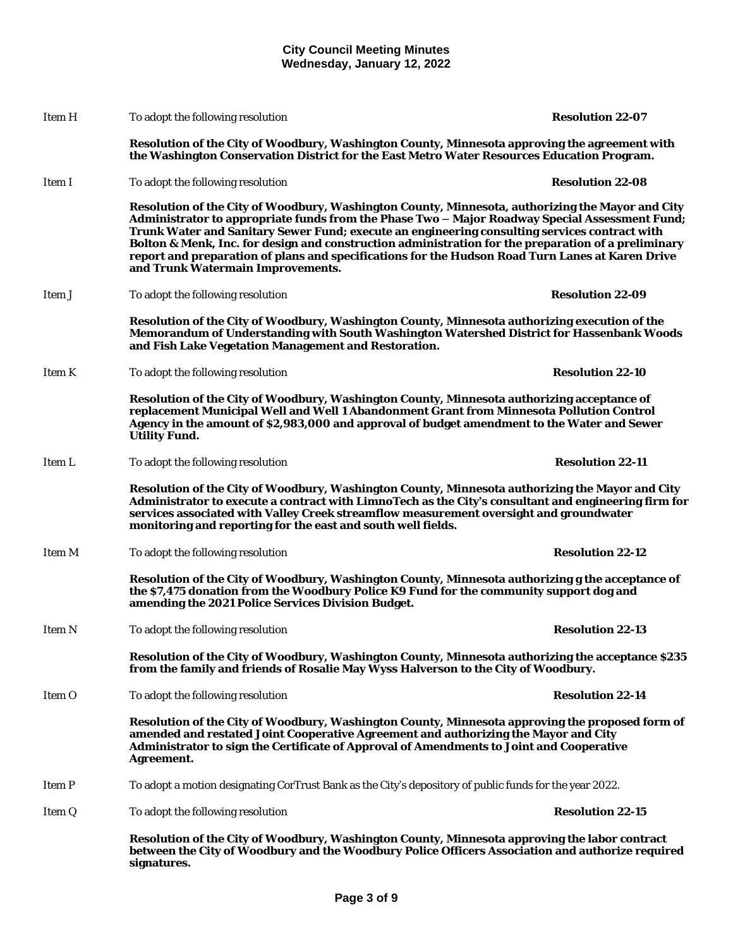|        | Resolution of the City of Woodbury, Washington County, Minnesota approving the labor contract<br>between the City of Woodbury and the Woodbury Police Officers Association and authorize required<br>signatures.                                                                                                                                                                                                                                                                                                                                    |                         |  |
|--------|-----------------------------------------------------------------------------------------------------------------------------------------------------------------------------------------------------------------------------------------------------------------------------------------------------------------------------------------------------------------------------------------------------------------------------------------------------------------------------------------------------------------------------------------------------|-------------------------|--|
| Item Q | To adopt the following resolution                                                                                                                                                                                                                                                                                                                                                                                                                                                                                                                   | <b>Resolution 22-15</b> |  |
| Item P | To adopt a motion designating CorTrust Bank as the City's depository of public funds for the year 2022.                                                                                                                                                                                                                                                                                                                                                                                                                                             |                         |  |
|        | Resolution of the City of Woodbury, Washington County, Minnesota approving the proposed form of<br>amended and restated Joint Cooperative Agreement and authorizing the Mayor and City<br>Administrator to sign the Certificate of Approval of Amendments to Joint and Cooperative<br>Agreement.                                                                                                                                                                                                                                                    |                         |  |
| Item O | To adopt the following resolution                                                                                                                                                                                                                                                                                                                                                                                                                                                                                                                   | <b>Resolution 22-14</b> |  |
|        | Resolution of the City of Woodbury, Washington County, Minnesota authorizing the acceptance \$235<br>from the family and friends of Rosalie May Wyss Halverson to the City of Woodbury.                                                                                                                                                                                                                                                                                                                                                             |                         |  |
| Item N | To adopt the following resolution                                                                                                                                                                                                                                                                                                                                                                                                                                                                                                                   | <b>Resolution 22-13</b> |  |
|        | Resolution of the City of Woodbury, Washington County, Minnesota authorizing g the acceptance of<br>the \$7,475 donation from the Woodbury Police K9 Fund for the community support dog and<br>amending the 2021 Police Services Division Budget.                                                                                                                                                                                                                                                                                                   |                         |  |
| Item M | To adopt the following resolution                                                                                                                                                                                                                                                                                                                                                                                                                                                                                                                   | <b>Resolution 22-12</b> |  |
|        | Resolution of the City of Woodbury, Washington County, Minnesota authorizing the Mayor and City<br>Administrator to execute a contract with LimnoTech as the City's consultant and engineering firm for<br>services associated with Valley Creek streamflow measurement oversight and groundwater<br>monitoring and reporting for the east and south well fields.                                                                                                                                                                                   |                         |  |
| Item L | To adopt the following resolution                                                                                                                                                                                                                                                                                                                                                                                                                                                                                                                   | <b>Resolution 22-11</b> |  |
|        | Resolution of the City of Woodbury, Washington County, Minnesota authorizing acceptance of<br>replacement Municipal Well and Well 1 Abandonment Grant from Minnesota Pollution Control<br>Agency in the amount of \$2,983,000 and approval of budget amendment to the Water and Sewer<br><b>Utility Fund.</b>                                                                                                                                                                                                                                       |                         |  |
| Item K | To adopt the following resolution                                                                                                                                                                                                                                                                                                                                                                                                                                                                                                                   | <b>Resolution 22-10</b> |  |
|        | Resolution of the City of Woodbury, Washington County, Minnesota authorizing execution of the<br>Memorandum of Understanding with South Washington Watershed District for Hassenbank Woods<br>and Fish Lake Vegetation Management and Restoration.                                                                                                                                                                                                                                                                                                  |                         |  |
| Item J | To adopt the following resolution                                                                                                                                                                                                                                                                                                                                                                                                                                                                                                                   | <b>Resolution 22-09</b> |  |
|        | Resolution of the City of Woodbury, Washington County, Minnesota, authorizing the Mayor and City<br>Administrator to appropriate funds from the Phase Two - Major Roadway Special Assessment Fund;<br>Trunk Water and Sanitary Sewer Fund; execute an engineering consulting services contract with<br>Bolton & Menk, Inc. for design and construction administration for the preparation of a preliminary<br>report and preparation of plans and specifications for the Hudson Road Turn Lanes at Karen Drive<br>and Trunk Watermain Improvements. |                         |  |
| Item I | To adopt the following resolution                                                                                                                                                                                                                                                                                                                                                                                                                                                                                                                   | <b>Resolution 22-08</b> |  |
|        | Resolution of the City of Woodbury, Washington County, Minnesota approving the agreement with<br>the Washington Conservation District for the East Metro Water Resources Education Program.                                                                                                                                                                                                                                                                                                                                                         |                         |  |
| Item H | To adopt the following resolution                                                                                                                                                                                                                                                                                                                                                                                                                                                                                                                   | <b>Resolution 22-07</b> |  |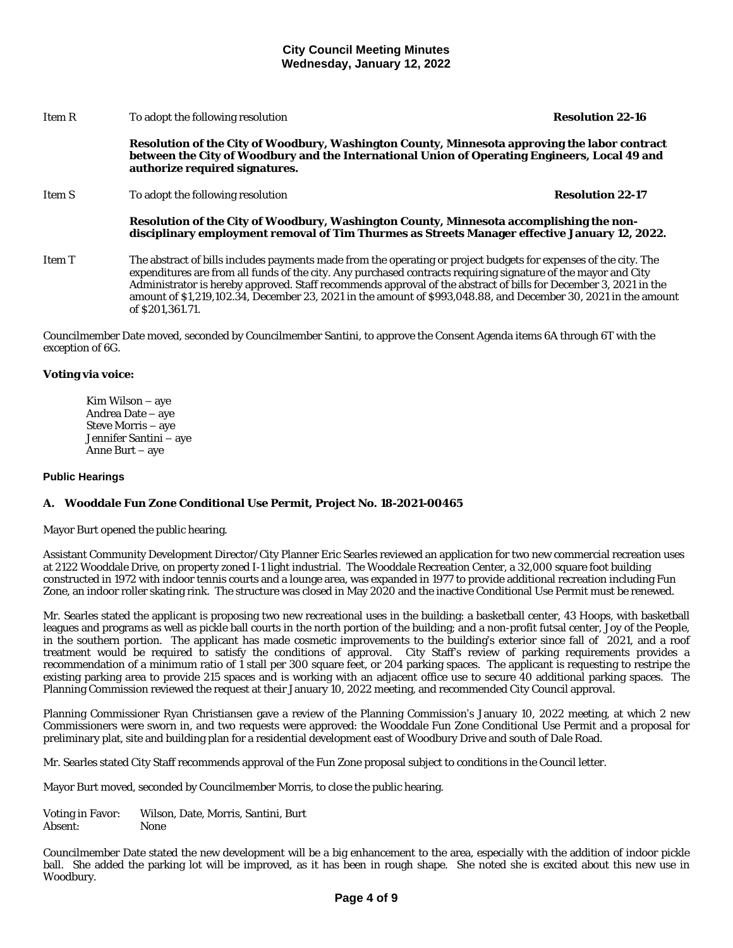| Item R | To adopt the following resolution                                                                                                                                                                                                                                                                                                                                                                                                                                                            | <b>Resolution 22-16</b> |
|--------|----------------------------------------------------------------------------------------------------------------------------------------------------------------------------------------------------------------------------------------------------------------------------------------------------------------------------------------------------------------------------------------------------------------------------------------------------------------------------------------------|-------------------------|
|        | Resolution of the City of Woodbury, Washington County, Minnesota approving the labor contract<br>between the City of Woodbury and the International Union of Operating Engineers, Local 49 and<br>authorize required signatures.                                                                                                                                                                                                                                                             |                         |
| Item S | To adopt the following resolution                                                                                                                                                                                                                                                                                                                                                                                                                                                            | <b>Resolution 22-17</b> |
|        | Resolution of the City of Woodbury, Washington County, Minnesota accomplishing the non-<br>disciplinary employment removal of Tim Thurmes as Streets Manager effective January 12, 2022.                                                                                                                                                                                                                                                                                                     |                         |
| Item T | The abstract of bills includes payments made from the operating or project budgets for expenses of the city. The<br>expenditures are from all funds of the city. Any purchased contracts requiring signature of the mayor and City<br>Administrator is hereby approved. Staff recommends approval of the abstract of bills for December 3, 2021 in the<br>amount of \$1,219,102.34, December 23, 2021 in the amount of \$993,048.88, and December 30, 2021 in the amount<br>of \$201.361.71. |                         |

Councilmember Date moved, seconded by Councilmember Santini, to approve the Consent Agenda items 6A through 6T with the exception of 6G.

#### **Voting via voice:**

Kim Wilson – aye Andrea Date – aye Steve Morris – aye Jennifer Santini – aye Anne Burt – aye

#### **Public Hearings**

#### **A. Wooddale Fun Zone Conditional Use Permit, Project No. 18-2021-00465**

Mayor Burt opened the public hearing.

Assistant Community Development Director/City Planner Eric Searles reviewed an application for two new commercial recreation uses at 2122 Wooddale Drive, on property zoned I-1 light industrial. The Wooddale Recreation Center, a 32,000 square foot building constructed in 1972 with indoor tennis courts and a lounge area, was expanded in 1977 to provide additional recreation including Fun Zone, an indoor roller skating rink. The structure was closed in May 2020 and the inactive Conditional Use Permit must be renewed.

Mr. Searles stated the applicant is proposing two new recreational uses in the building: a basketball center, 43 Hoops, with basketball leagues and programs as well as pickle ball courts in the north portion of the building; and a non-profit futsal center, Joy of the People, in the southern portion. The applicant has made cosmetic improvements to the building's exterior since fall of 2021, and a roof treatment would be required to satisfy the conditions of approval. City Staff's review of parking requirements provides a recommendation of a minimum ratio of 1 stall per 300 square feet, or 204 parking spaces. The applicant is requesting to restripe the existing parking area to provide 215 spaces and is working with an adjacent office use to secure 40 additional parking spaces. The Planning Commission reviewed the request at their January 10, 2022 meeting, and recommended City Council approval.

Planning Commissioner Ryan Christiansen gave a review of the Planning Commission's January 10, 2022 meeting, at which 2 new Commissioners were sworn in, and two requests were approved: the Wooddale Fun Zone Conditional Use Permit and a proposal for preliminary plat, site and building plan for a residential development east of Woodbury Drive and south of Dale Road.

Mr. Searles stated City Staff recommends approval of the Fun Zone proposal subject to conditions in the Council letter.

Mayor Burt moved, seconded by Councilmember Morris, to close the public hearing.

Voting in Favor: Wilson, Date, Morris, Santini, Burt Absent:

Councilmember Date stated the new development will be a big enhancement to the area, especially with the addition of indoor pickle ball. She added the parking lot will be improved, as it has been in rough shape. She noted she is excited about this new use in Woodbury.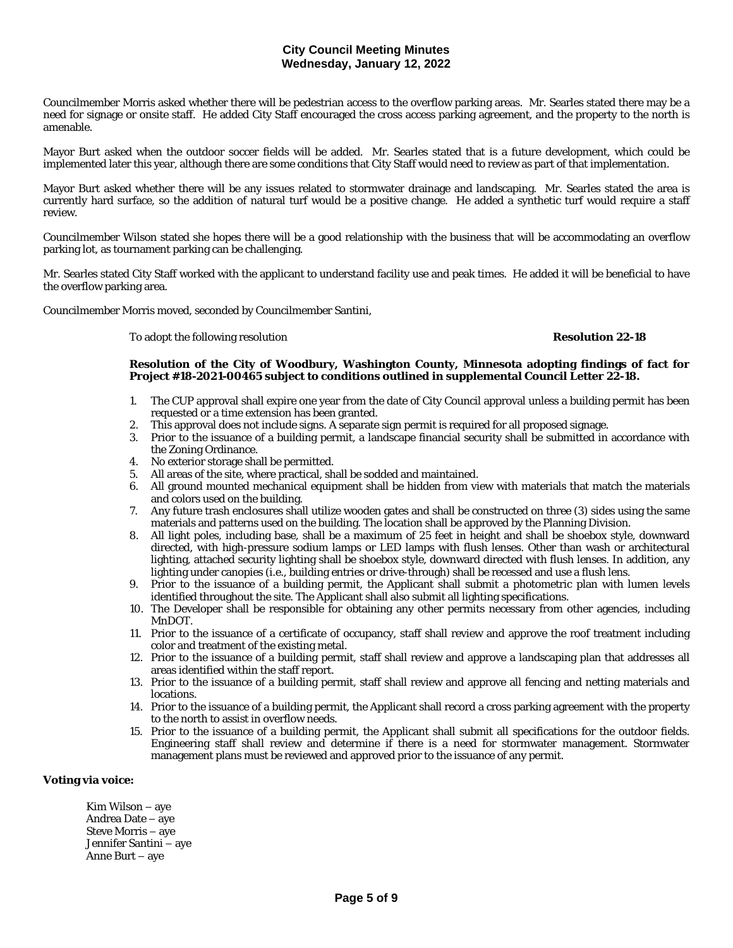Councilmember Morris asked whether there will be pedestrian access to the overflow parking areas. Mr. Searles stated there may be a need for signage or onsite staff. He added City Staff encouraged the cross access parking agreement, and the property to the north is amenable.

Mayor Burt asked when the outdoor soccer fields will be added. Mr. Searles stated that is a future development, which could be implemented later this year, although there are some conditions that City Staff would need to review as part of that implementation.

Mayor Burt asked whether there will be any issues related to stormwater drainage and landscaping. Mr. Searles stated the area is currently hard surface, so the addition of natural turf would be a positive change. He added a synthetic turf would require a staff review.

Councilmember Wilson stated she hopes there will be a good relationship with the business that will be accommodating an overflow parking lot, as tournament parking can be challenging.

Mr. Searles stated City Staff worked with the applicant to understand facility use and peak times. He added it will be beneficial to have the overflow parking area.

Councilmember Morris moved, seconded by Councilmember Santini,

To adopt the following resolution **Resolution 22-18**

#### **Resolution of the City of Woodbury, Washington County, Minnesota adopting findings of fact for Project #18-2021-00465 subject to conditions outlined in supplemental Council Letter 22-18.**

- 1. The CUP approval shall expire one year from the date of City Council approval unless a building permit has been requested or a time extension has been granted.
- 2. This approval does not include signs. A separate sign permit is required for all proposed signage.
- 3. Prior to the issuance of a building permit, a landscape financial security shall be submitted in accordance with the Zoning Ordinance.
- 4. No exterior storage shall be permitted.
- 5. All areas of the site, where practical, shall be sodded and maintained.
- 6. All ground mounted mechanical equipment shall be hidden from view with materials that match the materials and colors used on the building.
- 7. Any future trash enclosures shall utilize wooden gates and shall be constructed on three (3) sides using the same materials and patterns used on the building. The location shall be approved by the Planning Division.
- 8. All light poles, including base, shall be a maximum of 25 feet in height and shall be shoebox style, downward directed, with high-pressure sodium lamps or LED lamps with flush lenses. Other than wash or architectural lighting, attached security lighting shall be shoebox style, downward directed with flush lenses. In addition, any lighting under canopies (i.e., building entries or drive-through) shall be recessed and use a flush lens.
- 9. Prior to the issuance of a building permit, the Applicant shall submit a photometric plan with lumen levels identified throughout the site. The Applicant shall also submit all lighting specifications.
- 10. The Developer shall be responsible for obtaining any other permits necessary from other agencies, including MnDOT.
- 11. Prior to the issuance of a certificate of occupancy, staff shall review and approve the roof treatment including color and treatment of the existing metal.
- 12. Prior to the issuance of a building permit, staff shall review and approve a landscaping plan that addresses all areas identified within the staff report.
- 13. Prior to the issuance of a building permit, staff shall review and approve all fencing and netting materials and locations.
- 14. Prior to the issuance of a building permit, the Applicant shall record a cross parking agreement with the property to the north to assist in overflow needs.
- 15. Prior to the issuance of a building permit, the Applicant shall submit all specifications for the outdoor fields. Engineering staff shall review and determine if there is a need for stormwater management. Stormwater management plans must be reviewed and approved prior to the issuance of any permit.

#### **Voting via voice:**

Kim Wilson – aye Andrea Date – aye Steve Morris – aye Jennifer Santini – aye Anne Burt – aye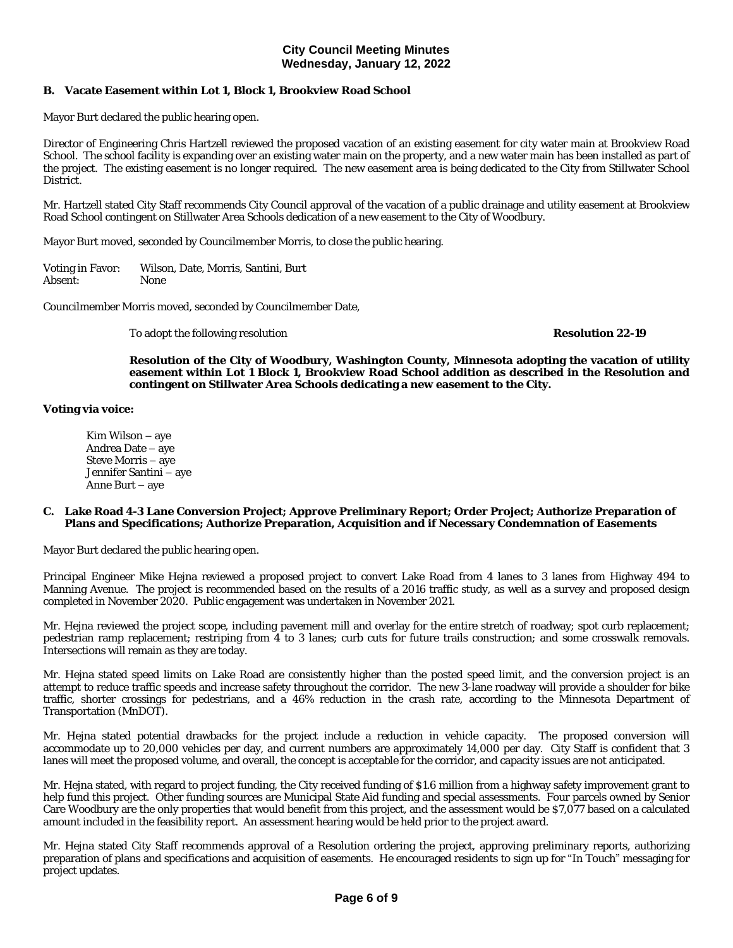## **B. Vacate Easement within Lot 1, Block 1, Brookview Road School**

Mayor Burt declared the public hearing open.

Director of Engineering Chris Hartzell reviewed the proposed vacation of an existing easement for city water main at Brookview Road School. The school facility is expanding over an existing water main on the property, and a new water main has been installed as part of the project. The existing easement is no longer required. The new easement area is being dedicated to the City from Stillwater School District.

Mr. Hartzell stated City Staff recommends City Council approval of the vacation of a public drainage and utility easement at Brookview Road School contingent on Stillwater Area Schools dedication of a new easement to the City of Woodbury.

Mayor Burt moved, seconded by Councilmember Morris, to close the public hearing.

Voting in Favor: Wilson, Date, Morris, Santini, Burt Absent: None

Councilmember Morris moved, seconded by Councilmember Date,

To adopt the following resolution **Resolution 22-19**

**Resolution of the City of Woodbury, Washington County, Minnesota adopting the vacation of utility easement within Lot 1 Block 1, Brookview Road School addition as described in the Resolution and contingent on Stillwater Area Schools dedicating a new easement to the City.**

#### **Voting via voice:**

Kim Wilson – aye Andrea Date – aye Steve Morris – aye Jennifer Santini – aye Anne Burt – aye

#### **C. Lake Road 4-3 Lane Conversion Project; Approve Preliminary Report; Order Project; Authorize Preparation of Plans and Specifications; Authorize Preparation, Acquisition and if Necessary Condemnation of Easements**

Mayor Burt declared the public hearing open.

Principal Engineer Mike Hejna reviewed a proposed project to convert Lake Road from 4 lanes to 3 lanes from Highway 494 to Manning Avenue. The project is recommended based on the results of a 2016 traffic study, as well as a survey and proposed design completed in November 2020. Public engagement was undertaken in November 2021.

Mr. Hejna reviewed the project scope, including pavement mill and overlay for the entire stretch of roadway; spot curb replacement; pedestrian ramp replacement; restriping from 4 to 3 lanes; curb cuts for future trails construction; and some crosswalk removals. Intersections will remain as they are today.

Mr. Hejna stated speed limits on Lake Road are consistently higher than the posted speed limit, and the conversion project is an attempt to reduce traffic speeds and increase safety throughout the corridor. The new 3-lane roadway will provide a shoulder for bike traffic, shorter crossings for pedestrians, and a 46% reduction in the crash rate, according to the Minnesota Department of Transportation (MnDOT).

Mr. Hejna stated potential drawbacks for the project include a reduction in vehicle capacity. The proposed conversion will accommodate up to 20,000 vehicles per day, and current numbers are approximately 14,000 per day. City Staff is confident that 3 lanes will meet the proposed volume, and overall, the concept is acceptable for the corridor, and capacity issues are not anticipated.

Mr. Hejna stated, with regard to project funding, the City received funding of \$1.6 million from a highway safety improvement grant to help fund this project. Other funding sources are Municipal State Aid funding and special assessments. Four parcels owned by Senior Care Woodbury are the only properties that would benefit from this project, and the assessment would be \$7,077 based on a calculated amount included in the feasibility report. An assessment hearing would be held prior to the project award.

Mr. Hejna stated City Staff recommends approval of a Resolution ordering the project, approving preliminary reports, authorizing preparation of plans and specifications and acquisition of easements. He encouraged residents to sign up for "In Touch" messaging for project updates.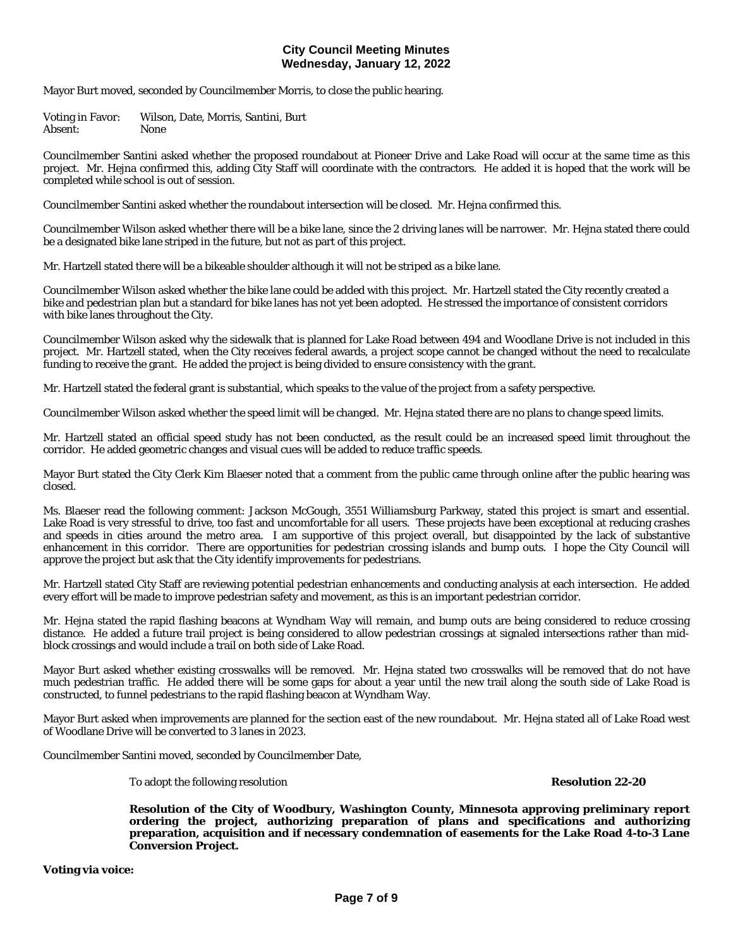Mayor Burt moved, seconded by Councilmember Morris, to close the public hearing.

Voting in Favor: Wilson, Date, Morris, Santini, Burt Absent: None

Councilmember Santini asked whether the proposed roundabout at Pioneer Drive and Lake Road will occur at the same time as this project. Mr. Hejna confirmed this, adding City Staff will coordinate with the contractors. He added it is hoped that the work will be completed while school is out of session.

Councilmember Santini asked whether the roundabout intersection will be closed. Mr. Hejna confirmed this.

Councilmember Wilson asked whether there will be a bike lane, since the 2 driving lanes will be narrower. Mr. Hejna stated there could be a designated bike lane striped in the future, but not as part of this project.

Mr. Hartzell stated there will be a bikeable shoulder although it will not be striped as a bike lane.

Councilmember Wilson asked whether the bike lane could be added with this project. Mr. Hartzell stated the City recently created a bike and pedestrian plan but a standard for bike lanes has not yet been adopted. He stressed the importance of consistent corridors with bike lanes throughout the City.

Councilmember Wilson asked why the sidewalk that is planned for Lake Road between 494 and Woodlane Drive is not included in this project. Mr. Hartzell stated, when the City receives federal awards, a project scope cannot be changed without the need to recalculate funding to receive the grant. He added the project is being divided to ensure consistency with the grant.

Mr. Hartzell stated the federal grant is substantial, which speaks to the value of the project from a safety perspective.

Councilmember Wilson asked whether the speed limit will be changed. Mr. Hejna stated there are no plans to change speed limits.

Mr. Hartzell stated an official speed study has not been conducted, as the result could be an increased speed limit throughout the corridor. He added geometric changes and visual cues will be added to reduce traffic speeds.

Mayor Burt stated the City Clerk Kim Blaeser noted that a comment from the public came through online after the public hearing was closed.

Ms. Blaeser read the following comment: Jackson McGough, 3551 Williamsburg Parkway, stated this project is smart and essential. Lake Road is very stressful to drive, too fast and uncomfortable for all users. These projects have been exceptional at reducing crashes and speeds in cities around the metro area. I am supportive of this project overall, but disappointed by the lack of substantive enhancement in this corridor. There are opportunities for pedestrian crossing islands and bump outs. I hope the City Council will approve the project but ask that the City identify improvements for pedestrians.

Mr. Hartzell stated City Staff are reviewing potential pedestrian enhancements and conducting analysis at each intersection. He added every effort will be made to improve pedestrian safety and movement, as this is an important pedestrian corridor.

Mr. Hejna stated the rapid flashing beacons at Wyndham Way will remain, and bump outs are being considered to reduce crossing distance. He added a future trail project is being considered to allow pedestrian crossings at signaled intersections rather than midblock crossings and would include a trail on both side of Lake Road.

Mayor Burt asked whether existing crosswalks will be removed. Mr. Hejna stated two crosswalks will be removed that do not have much pedestrian traffic. He added there will be some gaps for about a year until the new trail along the south side of Lake Road is constructed, to funnel pedestrians to the rapid flashing beacon at Wyndham Way.

Mayor Burt asked when improvements are planned for the section east of the new roundabout. Mr. Hejna stated all of Lake Road west of Woodlane Drive will be converted to 3 lanes in 2023.

Councilmember Santini moved, seconded by Councilmember Date,

To adopt the following resolution **Resolution 22-20**

**Resolution of the City of Woodbury, Washington County, Minnesota approving preliminary report ordering the project, authorizing preparation of plans and specifications and authorizing preparation, acquisition and if necessary condemnation of easements for the Lake Road 4-to-3 Lane Conversion Project.**

**Voting via voice:**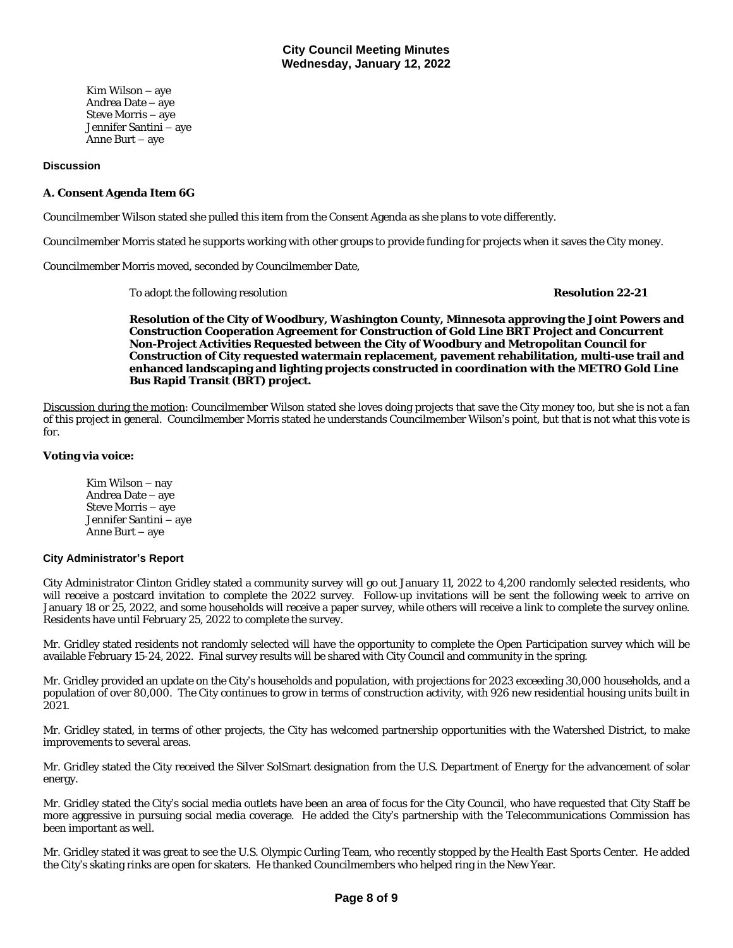Kim Wilson – aye Andrea Date – aye Steve Morris – aye Jennifer Santini – aye Anne Burt – aye

#### **Discussion**

## **A. Consent Agenda Item 6G**

Councilmember Wilson stated she pulled this item from the Consent Agenda as she plans to vote differently.

Councilmember Morris stated he supports working with other groups to provide funding for projects when it saves the City money.

Councilmember Morris moved, seconded by Councilmember Date,

To adopt the following resolution **Resolution 22-21**

**Resolution of the City of Woodbury, Washington County, Minnesota approving the Joint Powers and Construction Cooperation Agreement for Construction of Gold Line BRT Project and Concurrent Non-Project Activities Requested between the City of Woodbury and Metropolitan Council for Construction of City requested watermain replacement, pavement rehabilitation, multi-use trail and enhanced landscaping and lighting projects constructed in coordination with the METRO Gold Line Bus Rapid Transit (BRT) project.**

Discussion during the motion: Councilmember Wilson stated she loves doing projects that save the City money too, but she is not a fan of this project in general. Councilmember Morris stated he understands Councilmember Wilson's point, but that is not what this vote is for.

#### **Voting via voice:**

Kim Wilson – nay Andrea Date – aye Steve Morris – aye Jennifer Santini – aye Anne Burt – aye

#### **City Administrator's Report**

City Administrator Clinton Gridley stated a community survey will go out January 11, 2022 to 4,200 randomly selected residents, who will receive a postcard invitation to complete the 2022 survey. Follow-up invitations will be sent the following week to arrive on January 18 or 25, 2022, and some households will receive a paper survey, while others will receive a link to complete the survey online. Residents have until February 25, 2022 to complete the survey.

Mr. Gridley stated residents not randomly selected will have the opportunity to complete the Open Participation survey which will be available February 15-24, 2022. Final survey results will be shared with City Council and community in the spring.

Mr. Gridley provided an update on the City's households and population, with projections for 2023 exceeding 30,000 households, and a population of over 80,000. The City continues to grow in terms of construction activity, with 926 new residential housing units built in 2021.

Mr. Gridley stated, in terms of other projects, the City has welcomed partnership opportunities with the Watershed District, to make improvements to several areas.

Mr. Gridley stated the City received the Silver SolSmart designation from the U.S. Department of Energy for the advancement of solar energy.

Mr. Gridley stated the City's social media outlets have been an area of focus for the City Council, who have requested that City Staff be more aggressive in pursuing social media coverage. He added the City's partnership with the Telecommunications Commission has been important as well.

Mr. Gridley stated it was great to see the U.S. Olympic Curling Team, who recently stopped by the Health East Sports Center. He added the City's skating rinks are open for skaters. He thanked Councilmembers who helped ring in the New Year.